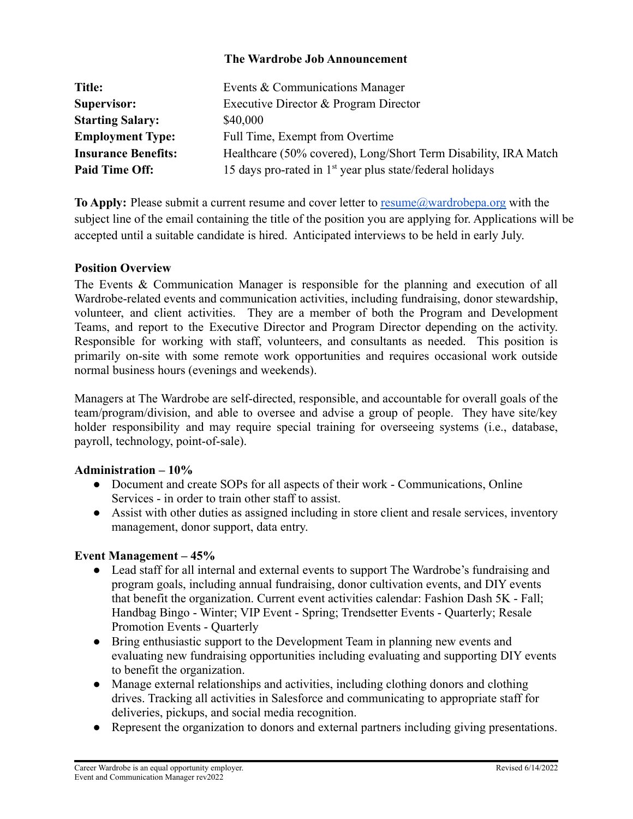### **The Wardrobe Job Announcement**

| Title:                     | Events & Communications Manager                                 |
|----------------------------|-----------------------------------------------------------------|
| Supervisor:                | Executive Director & Program Director                           |
| <b>Starting Salary:</b>    | \$40,000                                                        |
| <b>Employment Type:</b>    | Full Time, Exempt from Overtime                                 |
| <b>Insurance Benefits:</b> | Healthcare (50% covered), Long/Short Term Disability, IRA Match |
| <b>Paid Time Off:</b>      | 15 days pro-rated in $1st$ year plus state/federal holidays     |

**To Apply:** Please submit a current resume and cover letter to [resume@wardrobepa.org](mailto:resume@wardrobepa.org) with the subject line of the email containing the title of the position you are applying for. Applications will be accepted until a suitable candidate is hired. Anticipated interviews to be held in early July.

## **Position Overview**

The Events & Communication Manager is responsible for the planning and execution of all Wardrobe-related events and communication activities, including fundraising, donor stewardship, volunteer, and client activities. They are a member of both the Program and Development Teams, and report to the Executive Director and Program Director depending on the activity. Responsible for working with staff, volunteers, and consultants as needed. This position is primarily on-site with some remote work opportunities and requires occasional work outside normal business hours (evenings and weekends).

Managers at The Wardrobe are self-directed, responsible, and accountable for overall goals of the team/program/division, and able to oversee and advise a group of people. They have site/key holder responsibility and may require special training for overseeing systems (i.e., database, payroll, technology, point-of-sale).

#### **Administration – 10%**

- Document and create SOPs for all aspects of their work Communications, Online Services - in order to train other staff to assist.
- Assist with other duties as assigned including in store client and resale services, inventory management, donor support, data entry.

#### **Event Management – 45%**

- Lead staff for all internal and external events to support The Wardrobe's fundraising and program goals, including annual fundraising, donor cultivation events, and DIY events that benefit the organization. Current event activities calendar: Fashion Dash 5K - Fall; Handbag Bingo - Winter; VIP Event - Spring; Trendsetter Events - Quarterly; Resale Promotion Events - Quarterly
- Bring enthusiastic support to the Development Team in planning new events and evaluating new fundraising opportunities including evaluating and supporting DIY events to benefit the organization.
- Manage external relationships and activities, including clothing donors and clothing drives. Tracking all activities in Salesforce and communicating to appropriate staff for deliveries, pickups, and social media recognition.
- Represent the organization to donors and external partners including giving presentations.